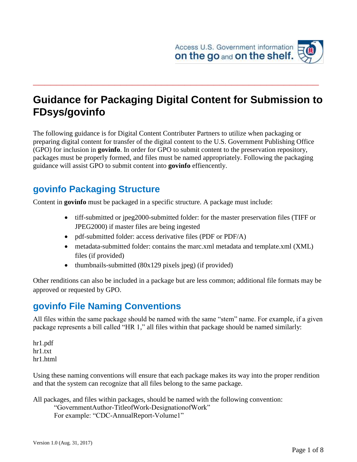

# **Guidance for Packaging Digital Content for Submission to FDsys/govinfo**

**\_\_\_\_\_\_\_\_\_\_\_\_\_\_\_\_\_\_\_\_\_\_\_\_\_\_\_\_\_\_\_\_\_\_\_\_\_\_\_\_\_\_\_\_\_\_\_\_\_**

The following guidance is for Digital Content Contributer Partners to utilize when packaging or preparing digital content for transfer of the digital content to the U.S. Government Publishing Office (GPO) for inclusion in **govinfo**. In order for GPO to submit content to the preservation repository, packages must be properly formed, and files must be named appropriately. Following the packaging guidance will assist GPO to submit content into **govinfo** effiencently.

### **govinfo Packaging Structure**

Content in **govinfo** must be packaged in a specific structure. A package must include:

- tiff-submitted or jpeg2000-submitted folder: for the master preservation files (TIFF or JPEG2000) if master files are being ingested
- pdf-submitted folder: access derivative files (PDF or PDF/A)
- metadata-submitted folder: contains the marc.xml metadata and template.xml (XML) files (if provided)
- thumbnails-submitted  $(80x129$  pixels jpeg) (if provided)

Other renditions can also be included in a package but are less common; additional file formats may be approved or requested by GPO.

#### **govinfo File Naming Conventions**

All files within the same package should be named with the same "stem" name. For example, if a given package represents a bill called "HR 1," all files within that package should be named similarly:

hr1.pdf hr1.txt hr1.html

Using these naming conventions will ensure that each package makes its way into the proper rendition and that the system can recognize that all files belong to the same package.

All packages, and files within packages, should be named with the following convention:

```
"GovernmentAuthor-TitleofWork-DesignationofWork"
For example: "CDC-AnnualReport-Volume1"
```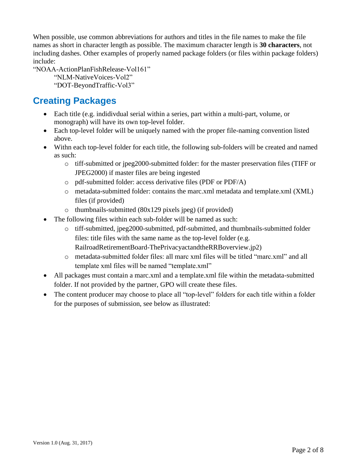When possible, use common abbreviations for authors and titles in the file names to make the file names as short in character length as possible. The maximum character length is **30 characters**, not including dashes. Other examples of properly named package folders (or files within package folders) include:

"NOAA-ActionPlanFishRelease-Vol161"

"NLM-NativeVoices-Vol2"

"DOT-BeyondTraffic-Vol3"

#### **Creating Packages**

- Each title (e.g. indidivdual serial within a series, part within a multi-part, volume, or monograph) will have its own top-level folder.
- Each top-level folder will be uniquely named with the proper file-naming convention listed above.
- Withn each top-level folder for each title, the following sub-folders will be created and named as such:
	- o tiff-submitted or jpeg2000-submitted folder: for the master preservation files (TIFF or JPEG2000) if master files are being ingested
	- o pdf-submitted folder: access derivative files (PDF or PDF/A)
	- o metadata-submitted folder: contains the marc.xml metadata and template.xml (XML) files (if provided)
	- o thumbnails-submitted (80x129 pixels jpeg) (if provided)
- The following files within each sub-folder will be named as such:
	- o tiff-submitted, jpeg2000-submitted, pdf-submitted, and thumbnails-submitted folder files: title files with the same name as the top-level folder (e.g. RailroadRetirementBoard-ThePrivacyactandtheRRBoverview.jp2)
	- o metadata-submitted folder files: all marc xml files will be titled "marc.xml" and all template xml files will be named "template.xml"
- All packages must contain a marc.xml and a template.xml file within the metadata-submitted folder. If not provided by the partner, GPO will create these files.
- The content producer may choose to place all "top-level" folders for each title within a folder for the purposes of submission, see below as illustrated: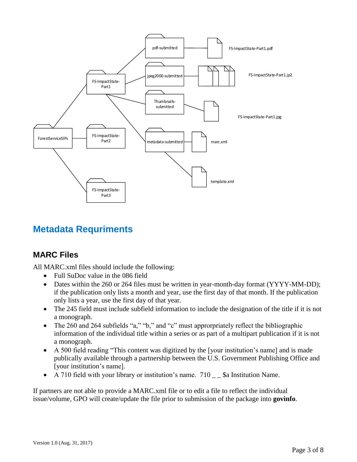

## **Metadata Requriments**

#### **MARC Files**

All MARC.xml files should include the following:

- Full SuDoc value in the 086 field
- Dates within the 260 or 264 files must be written in year-month-day format (YYYY-MM-DD); if the publication only lists a month and year, use the first day of that month. If the publication only lists a year, use the first day of that year.
- The 245 field must include subfield information to include the designation of the title if it is not a monograph.
- The 260 and 264 subfields "a," "b," and "c" must approrpriately reflect the bibliographic information of the individual title within a series or as part of a multipart publication if it is not a monograph.
- A 500 field reading "This content was digitized by the [your institution's name] and is made publically available through a partnership between the U.S. Government Publishing Office and [your institution's name].
- A 710 field with your library or institution's name.  $710 -$  \$a Institution Name.

If partners are not able to provide a MARC.xml file or to edit a file to reflect the individual issue/volume, GPO will create/update the file prior to submission of the package into **govinfo**.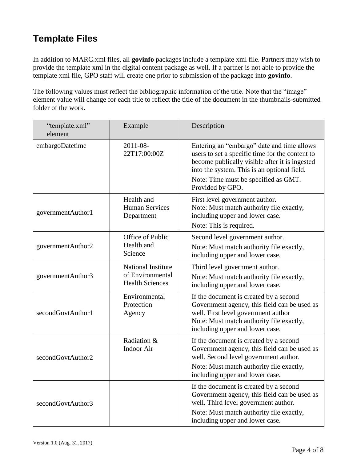# **Template Files**

In addition to MARC.xml files, all **govinfo** packages include a template xml file. Partners may wish to provide the template xml in the digital content package as well. If a partner is not able to provide the template xml file, GPO staff will create one prior to submission of the package into **govinfo**.

The following values must reflect the bibliographic information of the title. Note that the "image" element value will change for each title to reflect the title of the document in the thumbnails-submitted folder of the work.

| "template.xml"<br>element | Example                                                                 | Description                                                                                                                                                                                                                                                |
|---------------------------|-------------------------------------------------------------------------|------------------------------------------------------------------------------------------------------------------------------------------------------------------------------------------------------------------------------------------------------------|
| embargoDatetime           | 2011-08-<br>22T17:00:00Z                                                | Entering an "embargo" date and time allows<br>users to set a specific time for the content to<br>become publically visible after it is ingested<br>into the system. This is an optional field.<br>Note: Time must be specified as GMT.<br>Provided by GPO. |
| governmentAuthor1         | Health and<br><b>Human Services</b><br>Department                       | First level government author.<br>Note: Must match authority file exactly,<br>including upper and lower case.<br>Note: This is required.                                                                                                                   |
| governmentAuthor2         | Office of Public<br>Health and<br>Science                               | Second level government author.<br>Note: Must match authority file exactly,<br>including upper and lower case.                                                                                                                                             |
| governmentAuthor3         | <b>National Institute</b><br>of Environmental<br><b>Health Sciences</b> | Third level government author.<br>Note: Must match authority file exactly,<br>including upper and lower case.                                                                                                                                              |
| secondGovtAuthor1         | Environmental<br>Protection<br>Agency                                   | If the document is created by a second<br>Government agency, this field can be used as<br>well. First level government author<br>Note: Must match authority file exactly,<br>including upper and lower case.                                               |
| secondGovtAuthor2         | Radiation &<br><b>Indoor Air</b>                                        | If the document is created by a second<br>Government agency, this field can be used as<br>well. Second level government author.<br>Note: Must match authority file exactly,<br>including upper and lower case.                                             |
| secondGovtAuthor3         |                                                                         | If the document is created by a second<br>Government agency, this field can be used as<br>well. Third level government author.<br>Note: Must match authority file exactly,<br>including upper and lower case.                                              |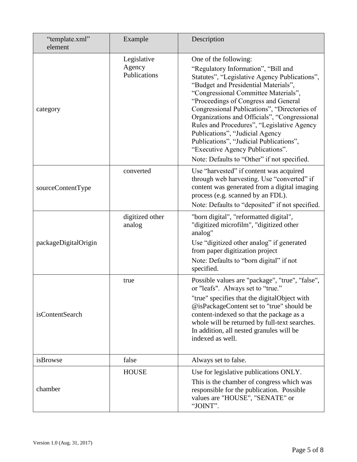| "template.xml"<br>element | Example                               | Description                                                                                                                                                                                                                                                                                                                                                                                                                                                                                                                                          |
|---------------------------|---------------------------------------|------------------------------------------------------------------------------------------------------------------------------------------------------------------------------------------------------------------------------------------------------------------------------------------------------------------------------------------------------------------------------------------------------------------------------------------------------------------------------------------------------------------------------------------------------|
| category                  | Legislative<br>Agency<br>Publications | One of the following:<br>"Regulatory Information", "Bill and<br>Statutes", "Legislative Agency Publications",<br>"Budget and Presidential Materials",<br>"Congressional Committee Materials",<br>"Proceedings of Congress and General<br>Congressional Publications", "Directories of<br>Organizations and Officials", "Congressional<br>Rules and Procedures", "Legislative Agency<br>Publications", "Judicial Agency<br>Publications", "Judicial Publications",<br>"Executive Agency Publications".<br>Note: Defaults to "Other" if not specified. |
| sourceContentType         | converted                             | Use "harvested" if content was acquired<br>through web harvesting. Use "converted" if<br>content was generated from a digital imaging<br>process (e.g. scanned by an FDL).<br>Note: Defaults to "deposited" if not specified.                                                                                                                                                                                                                                                                                                                        |
| packageDigitalOrigin      | digitized other<br>analog             | "born digital", "reformatted digital",<br>"digitized microfilm", "digitized other<br>analog"<br>Use "digitized other analog" if generated<br>from paper digitization project<br>Note: Defaults to "born digital" if not<br>specified.                                                                                                                                                                                                                                                                                                                |
| isContentSearch           | true                                  | Possible values are "package", "true", "false",<br>or "leafs". Always set to "true."<br>"true" specifies that the digitalObject with<br>@isPackageContent set to "true" should be<br>content-indexed so that the package as a<br>whole will be returned by full-text searches.<br>In addition, all nested granules will be<br>indexed as well.                                                                                                                                                                                                       |
| isBrowse                  | false                                 | Always set to false.                                                                                                                                                                                                                                                                                                                                                                                                                                                                                                                                 |
| chamber                   | <b>HOUSE</b>                          | Use for legislative publications ONLY.<br>This is the chamber of congress which was<br>responsible for the publication. Possible<br>values are "HOUSE", "SENATE" or<br>"JOINT".                                                                                                                                                                                                                                                                                                                                                                      |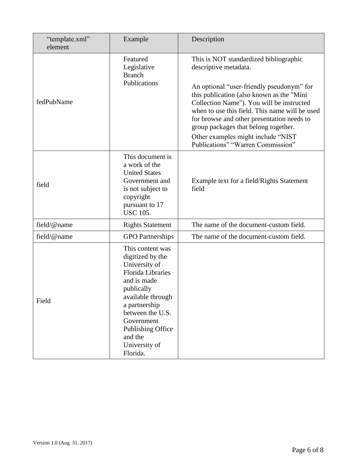| "template.xml"<br>element | Example                                                                                                                                                                                                                                                    | Description                                                                                                                                                                                                                                                                                                                                                                                                               |
|---------------------------|------------------------------------------------------------------------------------------------------------------------------------------------------------------------------------------------------------------------------------------------------------|---------------------------------------------------------------------------------------------------------------------------------------------------------------------------------------------------------------------------------------------------------------------------------------------------------------------------------------------------------------------------------------------------------------------------|
| fedPubName                | Featured<br>Legislative<br><b>Branch</b><br>Publications                                                                                                                                                                                                   | This is NOT standardized bibliographic<br>descriptive metadata.<br>An optional "user-friendly pseudonym" for<br>this publication (also known as the "Mini<br>Collection Name"). You will be instructed<br>when to use this field. This name will be used<br>for browse and other presentation needs to<br>group packages that belong together.<br>Other examples might include "NIST<br>Publications" "Warren Commission" |
| field                     | This document is<br>a work of the<br><b>United States</b><br>Government and<br>is not subject to<br>copyright<br>pursuant to 17<br><b>USC 105.</b>                                                                                                         | Example text for a field/Rights Statement<br>field                                                                                                                                                                                                                                                                                                                                                                        |
| field/@name               | <b>Rights Statement</b>                                                                                                                                                                                                                                    | The name of the document-custom field.                                                                                                                                                                                                                                                                                                                                                                                    |
| field/@name               | <b>GPO</b> Partnerships                                                                                                                                                                                                                                    | The name of the document-custom field.                                                                                                                                                                                                                                                                                                                                                                                    |
| Field                     | This content was<br>digitized by the<br>University of<br><b>Florida Libraries</b><br>and is made<br>publically<br>available through<br>a partnership<br>between the U.S.<br>Government<br><b>Publishing Office</b><br>and the<br>University of<br>Florida. |                                                                                                                                                                                                                                                                                                                                                                                                                           |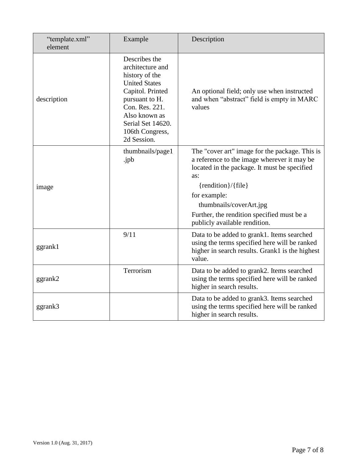| "template.xml"<br>element | Example                                                                                                                                                                                                     | Description                                                                                                                                                                                                                                                                                                |
|---------------------------|-------------------------------------------------------------------------------------------------------------------------------------------------------------------------------------------------------------|------------------------------------------------------------------------------------------------------------------------------------------------------------------------------------------------------------------------------------------------------------------------------------------------------------|
| description               | Describes the<br>architecture and<br>history of the<br><b>United States</b><br>Capitol. Printed<br>pursuant to H.<br>Con. Res. 221.<br>Also known as<br>Serial Set 14620.<br>106th Congress,<br>2d Session. | An optional field; only use when instructed<br>and when "abstract" field is empty in MARC<br>values                                                                                                                                                                                                        |
| image                     | thumbnails/page1<br>.jpb                                                                                                                                                                                    | The "cover art" image for the package. This is<br>a reference to the image wherever it may be<br>located in the package. It must be specified<br>as:<br>$\{rendition\}/\{file\}$<br>for example:<br>thumbnails/coverArt.jpg<br>Further, the rendition specified must be a<br>publicly available rendition. |
| ggrank1                   | 9/11                                                                                                                                                                                                        | Data to be added to grank1. Items searched<br>using the terms specified here will be ranked<br>higher in search results. Grank1 is the highest<br>value.                                                                                                                                                   |
| ggrank2                   | Terrorism                                                                                                                                                                                                   | Data to be added to grank2. Items searched<br>using the terms specified here will be ranked<br>higher in search results.                                                                                                                                                                                   |
| ggrank3                   |                                                                                                                                                                                                             | Data to be added to grank3. Items searched<br>using the terms specified here will be ranked<br>higher in search results.                                                                                                                                                                                   |